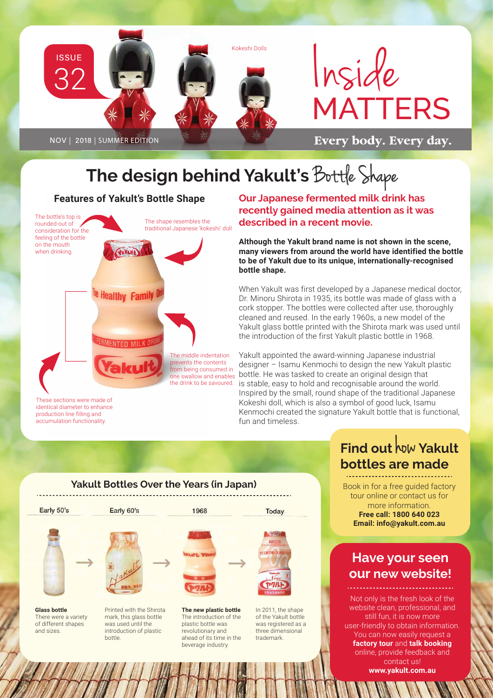

## **The design behind Yakult's** Bottle Shape

#### **Features of Yakult's Bottle Shape**

The bottle's top is The shape resembles the rounded-out of traditional Japanese 'kokeshi' doll consideration for the feeling of the bottle on the mouth **Vakuft** when drinking. **Healthy Family** ENTED MILK DRI The middle indentation prevents the contents from being consumed in

These sections were made of identical diameter to enhance production line filling and accumulation functionality.

of different shapes and sizes.

**Our Japanese fermented milk drink has recently gained media attention as it was described in a recent movie.**

**Although the Yakult brand name is not shown in the scene, many viewers from around the world have identified the bottle to be of Yakult due to its unique, internationally-recognised bottle shape.** 

When Yakult was first developed by a Japanese medical doctor, Dr. Minoru Shirota in 1935, its bottle was made of glass with a cork stopper. The bottles were collected after use, thoroughly cleaned and reused. In the early 1960s, a new model of the Yakult glass bottle printed with the Shirota mark was used until the introduction of the first Yakult plastic bottle in 1968.

one swallow and enables bottle. He was tasked to create an original design that the drink to be savoured. is stable, easy to hold and recognisable around the world. Yakult appointed the award-winning Japanese industrial designer – Isamu Kenmochi to design the new Yakult plastic Inspired by the small, round shape of the traditional Japanese Kokeshi doll, which is also a symbol of good luck, Isamu Kenmochi created the signature Yakult bottle that is functional, fun and timeless.

## **Find out** how **Yakult bottles are made**

Book in for a free guided factory tour online or contact us for more information. **Free call: 1800 640 023 Email: info@yakult.com.au**

### **Have your seen our new website!**

Not only is the fresh look of the website clean, professional, and still fun, it is now more user-friendly to obtain information. You can now easily request a **factory tour** and **talk booking**  online, provide feedback and contact us! **www.yakult.com.au**

#### **Yakult Bottles Over the Years (in Japan)**



plastic bottle was revolutionary and ahead of its time in the beverage industry.

was registered as a three dimensional trademark.

was used until the introduction of plastic

bottle.